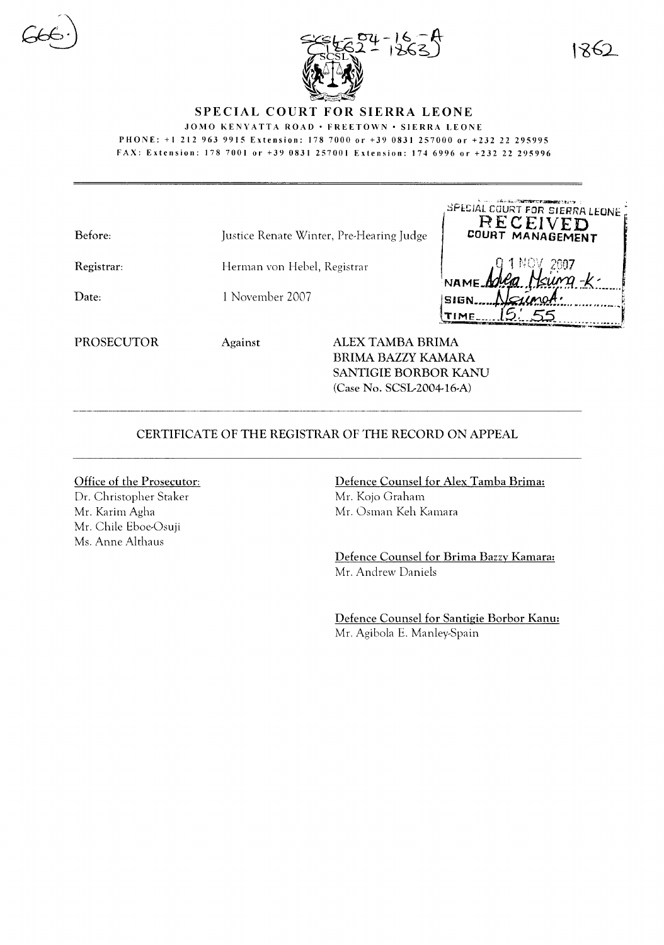



## SPECIAL COURT FOR SIERRA LEONE

JOMO KENYATTA ROAD · FREETOWN · SIERRA LEONE

PHONE: +1212 963 9915 Extension: 1787000 or +39 0831257000 or +232 22 295995 FAX: Extension: 1787001 or +39 0831257001 Extension: 1746996 or +23222295996

| Before:           |                                          |                                               |                     | トリーン - 日本レルにいて編集文庫の文書(2000mm)<br>SPECIAL COURT FOR SIERRA LEONE .<br>RECEIVED |
|-------------------|------------------------------------------|-----------------------------------------------|---------------------|-------------------------------------------------------------------------------|
|                   | Justice Renate Winter, Pre-Hearing Judge |                                               |                     | COURT MANAGEMENT                                                              |
| Registrar:        | Herman von Hebel, Registrar              |                                               | NAME Adug           |                                                                               |
| Date:             | 1 November 2007                          |                                               | <b>SIGN</b><br>'IME |                                                                               |
| <b>PROSECUTOR</b> | Against                                  | <b>ALEX TAMBA BRIMA</b><br>BRIMA BAZZY KAMARA |                     |                                                                               |

CERTIFICATE OF THE REGISTRAR OF THE RECORD ON APPEAL

Office of the Prosecutor: Dr. Christopher Staker Mr. Karim Agha Mr. Chile Eboe-Osuji Ms. Anne Althaus

Defence Counsel for Alex Tamba Brima: Mr. Kojo Graham Mr. Osman Keh Kamara

SANTIGIE BORBOR KANU (Case No. SCSL-2004-16-A)

Defence Counsel for Brima Bazzy Kamara: Mr. Andrew Daniels

Defence Counsel for Santigie Borbor Kanu: Mr. Agibola E. Manley-Spain

1862